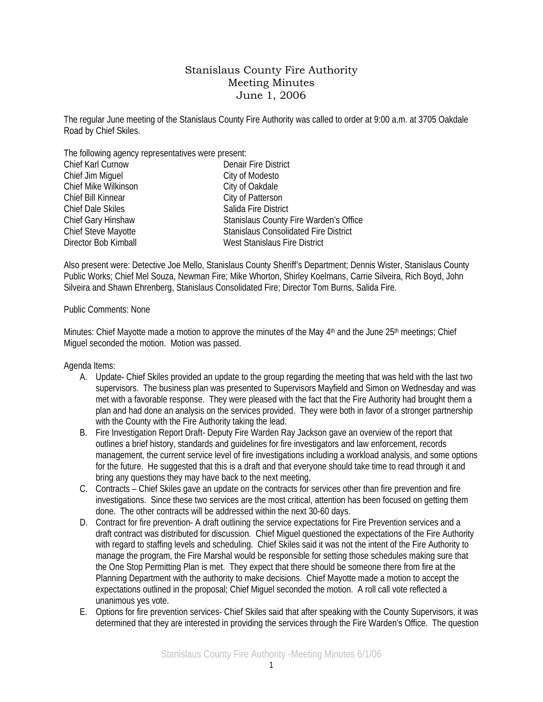## Stanislaus County Fire Authority Meeting Minutes June 1, 2006

The regular June meeting of the Stanislaus County Fire Authority was called to order at 9:00 a.m. at 3705 Oakdale Road by Chief Skiles.

The following agency representatives were present:

| Chief Karl Curnow        | Denair Fire District                         |
|--------------------------|----------------------------------------------|
| Chief Jim Miguel         | City of Modesto                              |
| Chief Mike Wilkinson     | City of Oakdale                              |
| Chief Bill Kinnear       | City of Patterson                            |
| <b>Chief Dale Skiles</b> | Salida Fire District                         |
| Chief Gary Hinshaw       | Stanislaus County Fire Warden's Office       |
| Chief Steve Mayotte      | <b>Stanislaus Consolidated Fire District</b> |
| Director Bob Kimball     | West Stanislaus Fire District                |
|                          |                                              |

Also present were: Detective Joe Mello, Stanislaus County Sheriff's Department; Dennis Wister, Stanislaus County Public Works; Chief Mel Souza, Newman Fire; Mike Whorton, Shirley Koelmans, Carrie Silveira, Rich Boyd, John Silveira and Shawn Ehrenberg, Stanislaus Consolidated Fire; Director Tom Burns, Salida Fire.

## Public Comments: None

Minutes: Chief Mayotte made a motion to approve the minutes of the May  $4<sup>th</sup>$  and the June 25<sup>th</sup> meetings; Chief Miguel seconded the motion. Motion was passed.

Agenda Items:

- A. Update- Chief Skiles provided an update to the group regarding the meeting that was held with the last two supervisors. The business plan was presented to Supervisors Mayfield and Simon on Wednesday and was met with a favorable response. They were pleased with the fact that the Fire Authority had brought them a plan and had done an analysis on the services provided. They were both in favor of a stronger partnership with the County with the Fire Authority taking the lead.
- B. Fire Investigation Report Draft- Deputy Fire Warden Ray Jackson gave an overview of the report that outlines a brief history, standards and guidelines for fire investigators and law enforcement, records management, the current service level of fire investigations including a workload analysis, and some options for the future. He suggested that this is a draft and that everyone should take time to read through it and bring any questions they may have back to the next meeting.
- C. Contracts Chief Skiles gave an update on the contracts for services other than fire prevention and fire investigations. Since these two services are the most critical, attention has been focused on getting them done. The other contracts will be addressed within the next 30-60 days.
- D. Contract for fire prevention- A draft outlining the service expectations for Fire Prevention services and a draft contract was distributed for discussion. Chief Miguel questioned the expectations of the Fire Authority with regard to staffing levels and scheduling. Chief Skiles said it was not the intent of the Fire Authority to manage the program, the Fire Marshal would be responsible for setting those schedules making sure that the One Stop Permitting Plan is met. They expect that there should be someone there from fire at the Planning Department with the authority to make decisions. Chief Mayotte made a motion to accept the expectations outlined in the proposal; Chief Miguel seconded the motion. A roll call vote reflected a unanimous yes vote.
- E. Options for fire prevention services- Chief Skiles said that after speaking with the County Supervisors, it was determined that they are interested in providing the services through the Fire Warden's Office. The question